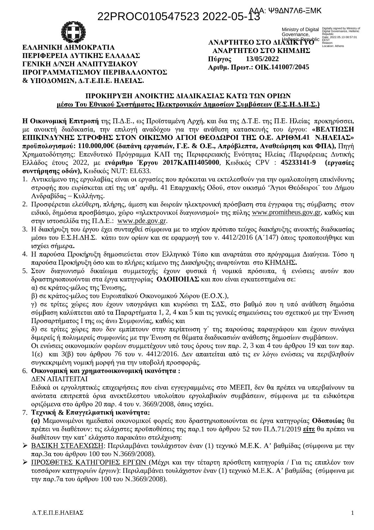## 22PROC010547523 2022-05-13



ЕЛАННІКН АНМОКРАТІА ΠΕΡΙΦΕΡΕΙΑ ΔΥΤΙΚΗΣ ΕΛΛΑΔΑΣ *ΓΕΝΙΚΗ ΛΙΝΣΗ ΑΝΑΠΤΥΞΙΑΚΟΥ* ΠΡΟΓΡΑΜΜΑΤΙΣΜΟΥ ΠΕΡΙΒΑΛΛΟΝΤΟΣ  $&$  ΥΠΟΔΟΜΩΝ, Δ.Τ.Ε.Π.Ε. ΗΛΕΙΑΣ.

ΑΝΑΡΤΗΤΕΟ ΣΤΟ ΚΗΜΔΗΣ Πύργος **13/05/2022 . .: .141007/2045**

Ministry of Digital Digitally signed by Ministry of<br>Governance, Republic Republic Governance, Republic Covernance<br>Hellepic Republic Fest<br>**AAIIK Propu**blic Eest<br>Location: Athens

### ΠΡΟΚΗΡΥΞΗ ΑΝΟΙΚΤΗΣ ΛΙΑΛΙΚΑΣΙΑΣ ΚΑΤΩ ΤΩΝ ΟΡΙΩΝ **ιιέσω Του Εθνικού Συστήματος Ηλεκτοονικών Δημοσίων Συμβάσεων (Ε.Σ.Η.Δ.Η.Σ.)**

**Η Οικονομική Επιτροπή** της Π.Δ.Ε., ως Προϊσταμένη Αρχή, και δια της Δ.Τ.Ε. της Π.Ε. Ηλείας προκηρύσσει, με ανοικτή διαδικασία, την επιλογή αναδόχου για την ανάθεση κατασκευής του έργου: **«ΒΕΛΤΙΩΣΗ ΕΠΙΚΙΝΔΥΝΗΣ ΣΤΡΟΦΗΣ ΣΤΟΝ ΟΙΚΙΣΜΟ ΑΓΙΟΙ ΘΕΟΔΩΡΟΙ ΤΗΣ Ο.Ε. ΑΡΙΘΜ.41 Ν.ΗΛΕΙΑΣ»**  $\pi$ **ροϋπολογισμού: 110.000,00€ δαπάνη εργασιών, Γ.Ε. & Ο.Ε., Απρόβλεπτα, Αναθεώρηση και ΦΠΑ), Πηγή** Χρηματοδότησης: Επενδυτικό Πρόγραμμα ΚΑΠ της Περιφερειακής Ενότητας Ηλείας Περιφέρειας Δυτικής Eλλάδος έτους 2022, με ενάριθμο Έργου 2017ΚΑΠ1405000, Κωδικός CPV : 45233141-9 (εργασίες **συντήρησης οδών), Κωδικός NUT: EL633.** 

- 1. Αντικείμενο της εργολαβίας είναι οι εργασίες που πρόκειται να εκτελεσθούν για την ομαλοποίηση επικίνδυνης στροφής που ευρίσκεται επί της υπ' αριθμ. 41 Επαρχιακής Οδού, στον οικισμό 'Άγιοι Θεόδωροι' του Δήμου Ανδραβίδας - Κυλλήνης.
- 2. Προσφέρεται ελεύθερη, πλήρης, άμεση και δωρεάν ηλεκτρονική πρόσβαση στα έγγραφα της σύμβασης στον ειδικό, δημόσια προσβάσιμο, χώρο «ηλεκτρονικοί διαγωνισμοί» της πύλης www.promitheus.gov.gr, καθώς και στην ιστοσελίδα της Π.Δ.Ε.: www.pde.gov.gr.
- 3. Η διακήρυξη του έργου έχει συνταχθεί σύμφωνα με το ισχύον πρότυπο τεύχος διακήρυξης ανοικτής διαδικασίας μέσω του Ε.Σ.Η.ΔΗ.Σ. κάτω των ορίων και σε εφαρμογή του ν. 4412/2016 (Α'147) όπως τροποποιήθηκε και **.**
- 4. Η παρούσα Προκήρυξη δημοσιεύεται στον Ελληνικό Τύπο και αναρτάται στο πρόγραμμα Διαύνεια. Τόσο η παρούσα Προκήρυξη όσο και το πλήρες κείμενο της Διακήρυξης αναρτώνται στο ΚΗΜΔΗΣ.
- 5. Στον διαγωνισμό δικαίωμα συμμετοχής έχουν φυσικά ή νομικά πρόσωπα, ή ενώσεις αυτών που δραστηριοποιούνται στα έργα κατηγορίας ΟΔΟΠΟΗΑΣ και που είναι εγκατεστημένα σε: α) σε κράτος-μέλος της Ένωσης,
	- $\beta$ ) σε κράτος-μέλος του Ευρωπαϊκού Οικονομικού Χώρου (Ε.Ο.Χ.),

γ) σε τρίτες χώρες που έχουν υπογράψει και κυρώσει τη ΣΔΣ, στο βαθμό που η υπό ανάθεση δημόσια σύμβαση καλύπτεται από τα Παραρτήματα 1, 2, 4 και 5 και τις γενικές σημειώσεις του σχετικού με την Ένωση Προσαρτήματος Ι της ως άνω Συμφωνίας, καθώς και

δ) σε τρίτες χώρες που δεν εμπίπτουν στην περίπτωση γ΄ της παρούσας παραγράφου και έχουν συνάψει διμερείς ή πολυμερείς συμφωνίες με την Ένωση σε θέματα διαδικασιών ανάθεσης δημοσίων συμβάσεων.

Οι ενώσεις οικονομικών φορέων συμμετέχουν υπό τους όρους των παρ. 2, 3 και 4 του άρθρου 19 και των παρ. 1(ε) και 3(β) του άρθρου 76 του ν. 4412/2016. Δεν απαιτείται από τις εν λόγω ενώσεις να περιβληθούν συγκεκριμένη νομική μορφή για την υποβολή προσφοράς.

### 6. Οικονομική και χρηματοοικονομική ικανότητα:

### ΔΕΝ ΑΠΑΙΤΕΙΤΑΙ

Ειδικά οι εργοληπτικές επιχειρήσεις που είναι εγγεγραμμένες στο ΜΕΕΠ, δεν θα πρέπει να υπερβαίνουν τα ανώτατα επιτρεπτά όρια ανεκτέλεστου υπολοίπου εργολαβικών συμβάσεων, σύμφωνα με τα ειδικότερα οριζόμενα στο άρθρο 20 παρ. 4 του ν. 3669/2008, όπως ισγύει.

7. Τεχνική & Επαγγελματική ικανότητα:

(a) Μεμονωμένοι ημεδαποί οικονομικοί φορείς που δραστηριοποιούνται σε έργα κατηγορίας **Οδοποιίας** θα πρέπει να διαθέτουν: τις ελάγιστες προϋποθέσεις της παρ.1 του άρθρου 52 του Π.Δ.71/2019 **είτε** θα πρέπει να διαθέτουν την κατ' ελάγιστο παρακάτω στελέγωση:

- > ΒΑΣΙΚΗ ΣΤΕΛΕΧΩΣΗ: Περιλαμβάνει τουλάχιστον έναν (1) τεχνικό Μ.Ε.Κ. Α' βαθμίδας (σύμφωνα με την  $\pi$ αρ.3α του άρθρου 100 του N.3669/2008).
- > ΠΡΟΣΘΕΤΕΣ ΚΑΤΗΓΟΡΙΕΣ ΕΡΓΩΝ (Μέχρι και την τέταρτη πρόσθετη κατηγορία / Για τις επιπλέον των τεσσάρων κατηγοριών έργων): Περιλαμβάνει τουλάχιστον έναν (1) τεχνικό Μ.Ε.Κ. Α' βαθμίδας (σύμφωνα με  $\pi$ ny  $\pi$ αρ.7α του άρθρου 100 του N.3669/2008).